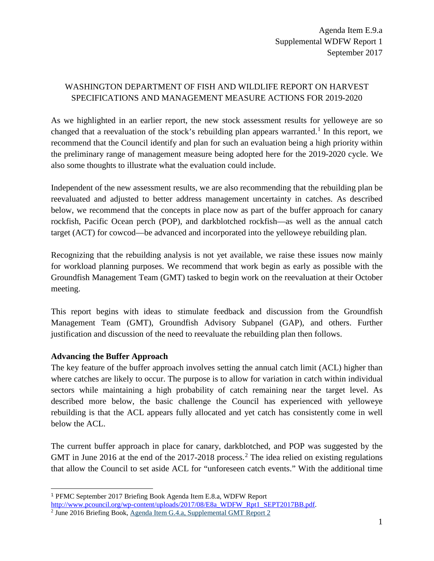# WASHINGTON DEPARTMENT OF FISH AND WILDLIFE REPORT ON HARVEST SPECIFICATIONS AND MANAGEMENT MEASURE ACTIONS FOR 2019-2020

As we highlighted in an earlier report, the new stock assessment results for yelloweye are so changed that a reevaluation of the stock's rebuilding plan appears warranted.<sup>[1](#page-0-0)</sup> In this report, we recommend that the Council identify and plan for such an evaluation being a high priority within the preliminary range of management measure being adopted here for the 2019-2020 cycle. We also some thoughts to illustrate what the evaluation could include.

Independent of the new assessment results, we are also recommending that the rebuilding plan be reevaluated and adjusted to better address management uncertainty in catches. As described below, we recommend that the concepts in place now as part of the buffer approach for canary rockfish, Pacific Ocean perch (POP), and darkblotched rockfish—as well as the annual catch target (ACT) for cowcod—be advanced and incorporated into the yelloweye rebuilding plan.

Recognizing that the rebuilding analysis is not yet available, we raise these issues now mainly for workload planning purposes. We recommend that work begin as early as possible with the Groundfish Management Team (GMT) tasked to begin work on the reevaluation at their October meeting.

This report begins with ideas to stimulate feedback and discussion from the Groundfish Management Team (GMT), Groundfish Advisory Subpanel (GAP), and others. Further justification and discussion of the need to reevaluate the rebuilding plan then follows.

## **Advancing the Buffer Approach**

The key feature of the buffer approach involves setting the annual catch limit (ACL) higher than where catches are likely to occur. The purpose is to allow for variation in catch within individual sectors while maintaining a high probability of catch remaining near the target level. As described more below, the basic challenge the Council has experienced with yelloweye rebuilding is that the ACL appears fully allocated and yet catch has consistently come in well below the ACL.

The current buffer approach in place for canary, darkblotched, and POP was suggested by the GMT in June [2](#page-0-1)016 at the end of the  $2017-2018$  process.<sup>2</sup> The idea relied on existing regulations that allow the Council to set aside ACL for "unforeseen catch events." With the additional time

<span id="page-0-0"></span> <sup>1</sup> PFMC September 2017 Briefing Book Agenda Item E.8.a, WDFW Report

<span id="page-0-1"></span> $\frac{1}{2}$  June 2016 Briefing Book[, Agenda Item G.4.a, Supplemental GMT Report 2](http://www.pcouncil.org/wp-content/uploads/2016/06/G4a_Sup_GMT_Rpt2_JUN2016BB.pdf)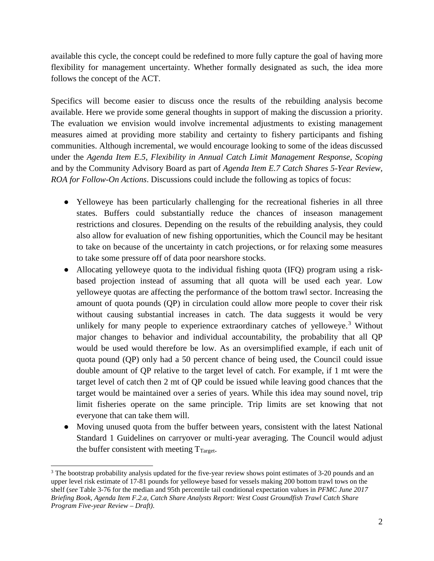available this cycle, the concept could be redefined to more fully capture the goal of having more flexibility for management uncertainty. Whether formally designated as such, the idea more follows the concept of the ACT.

Specifics will become easier to discuss once the results of the rebuilding analysis become available. Here we provide some general thoughts in support of making the discussion a priority. The evaluation we envision would involve incremental adjustments to existing management measures aimed at providing more stability and certainty to fishery participants and fishing communities. Although incremental, we would encourage looking to some of the ideas discussed under the *Agenda Item E.5, Flexibility in Annual Catch Limit Management Response, Scoping* and by the Community Advisory Board as part of *Agenda Item E.7 Catch Shares 5-Year Review, ROA for Follow-On Actions*. Discussions could include the following as topics of focus:

- Yelloweye has been particularly challenging for the recreational fisheries in all three states. Buffers could substantially reduce the chances of inseason management restrictions and closures. Depending on the results of the rebuilding analysis, they could also allow for evaluation of new fishing opportunities, which the Council may be hesitant to take on because of the uncertainty in catch projections, or for relaxing some measures to take some pressure off of data poor nearshore stocks.
- Allocating yelloweye quota to the individual fishing quota (IFQ) program using a riskbased projection instead of assuming that all quota will be used each year. Low yelloweye quotas are affecting the performance of the bottom trawl sector. Increasing the amount of quota pounds (QP) in circulation could allow more people to cover their risk without causing substantial increases in catch. The data suggests it would be very unlikely for many people to experience extraordinary catches of yelloweye.<sup>[3](#page-1-0)</sup> Without major changes to behavior and individual accountability, the probability that all QP would be used would therefore be low. As an oversimplified example, if each unit of quota pound (QP) only had a 50 percent chance of being used, the Council could issue double amount of QP relative to the target level of catch. For example, if 1 mt were the target level of catch then 2 mt of QP could be issued while leaving good chances that the target would be maintained over a series of years. While this idea may sound novel, trip limit fisheries operate on the same principle. Trip limits are set knowing that not everyone that can take them will.
- Moving unused quota from the buffer between years, consistent with the latest National Standard 1 Guidelines on carryover or multi-year averaging. The Council would adjust the buffer consistent with meeting  $T_{Target}$ .

<span id="page-1-0"></span> $\ddot{\phantom{a}}$ <sup>3</sup> The bootstrap probability analysis updated for the five-year review shows point estimates of 3-20 pounds and an upper level risk estimate of 17-81 pounds for yelloweye based for vessels making 200 bottom trawl tows on the shelf (*see* Table 3-76 for the median and 95th percentile tail conditional expectation values in *PFMC June 2017 Briefing Book, Agenda Item F.2.a, Catch Share Analysts Report: West Coast Groundfish Trawl Catch Share Program Five-year Review – Draft)*.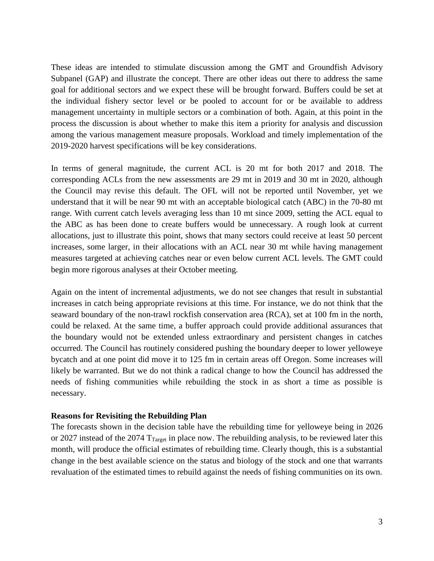These ideas are intended to stimulate discussion among the GMT and Groundfish Advisory Subpanel (GAP) and illustrate the concept. There are other ideas out there to address the same goal for additional sectors and we expect these will be brought forward. Buffers could be set at the individual fishery sector level or be pooled to account for or be available to address management uncertainty in multiple sectors or a combination of both. Again, at this point in the process the discussion is about whether to make this item a priority for analysis and discussion among the various management measure proposals. Workload and timely implementation of the 2019-2020 harvest specifications will be key considerations.

In terms of general magnitude, the current ACL is 20 mt for both 2017 and 2018. The corresponding ACLs from the new assessments are 29 mt in 2019 and 30 mt in 2020, although the Council may revise this default. The OFL will not be reported until November, yet we understand that it will be near 90 mt with an acceptable biological catch (ABC) in the 70-80 mt range. With current catch levels averaging less than 10 mt since 2009, setting the ACL equal to the ABC as has been done to create buffers would be unnecessary. A rough look at current allocations, just to illustrate this point, shows that many sectors could receive at least 50 percent increases, some larger, in their allocations with an ACL near 30 mt while having management measures targeted at achieving catches near or even below current ACL levels. The GMT could begin more rigorous analyses at their October meeting.

Again on the intent of incremental adjustments, we do not see changes that result in substantial increases in catch being appropriate revisions at this time. For instance, we do not think that the seaward boundary of the non-trawl rockfish conservation area (RCA), set at 100 fm in the north, could be relaxed. At the same time, a buffer approach could provide additional assurances that the boundary would not be extended unless extraordinary and persistent changes in catches occurred. The Council has routinely considered pushing the boundary deeper to lower yelloweye bycatch and at one point did move it to 125 fm in certain areas off Oregon. Some increases will likely be warranted. But we do not think a radical change to how the Council has addressed the needs of fishing communities while rebuilding the stock in as short a time as possible is necessary.

#### **Reasons for Revisiting the Rebuilding Plan**

The forecasts shown in the decision table have the rebuilding time for yelloweye being in 2026 or 2027 instead of the 2074  $T_{Target}$  in place now. The rebuilding analysis, to be reviewed later this month, will produce the official estimates of rebuilding time. Clearly though, this is a substantial change in the best available science on the status and biology of the stock and one that warrants revaluation of the estimated times to rebuild against the needs of fishing communities on its own.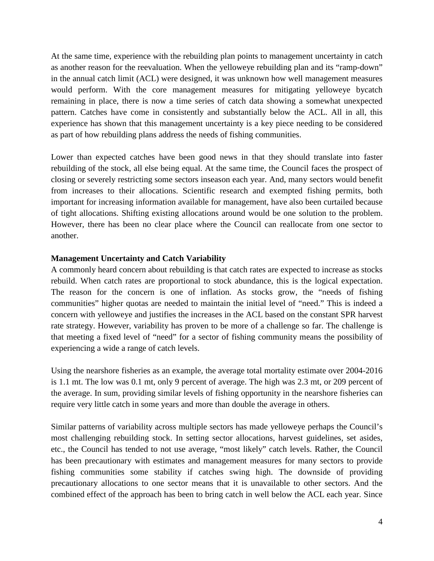At the same time, experience with the rebuilding plan points to management uncertainty in catch as another reason for the reevaluation. When the yelloweye rebuilding plan and its "ramp-down" in the annual catch limit (ACL) were designed, it was unknown how well management measures would perform. With the core management measures for mitigating yelloweye bycatch remaining in place, there is now a time series of catch data showing a somewhat unexpected pattern. Catches have come in consistently and substantially below the ACL. All in all, this experience has shown that this management uncertainty is a key piece needing to be considered as part of how rebuilding plans address the needs of fishing communities.

Lower than expected catches have been good news in that they should translate into faster rebuilding of the stock, all else being equal. At the same time, the Council faces the prospect of closing or severely restricting some sectors inseason each year. And, many sectors would benefit from increases to their allocations. Scientific research and exempted fishing permits, both important for increasing information available for management, have also been curtailed because of tight allocations. Shifting existing allocations around would be one solution to the problem. However, there has been no clear place where the Council can reallocate from one sector to another.

### **Management Uncertainty and Catch Variability**

A commonly heard concern about rebuilding is that catch rates are expected to increase as stocks rebuild. When catch rates are proportional to stock abundance, this is the logical expectation. The reason for the concern is one of inflation. As stocks grow, the "needs of fishing communities" higher quotas are needed to maintain the initial level of "need." This is indeed a concern with yelloweye and justifies the increases in the ACL based on the constant SPR harvest rate strategy. However, variability has proven to be more of a challenge so far. The challenge is that meeting a fixed level of "need" for a sector of fishing community means the possibility of experiencing a wide a range of catch levels.

Using the nearshore fisheries as an example, the average total mortality estimate over 2004-2016 is 1.1 mt. The low was 0.1 mt, only 9 percent of average. The high was 2.3 mt, or 209 percent of the average. In sum, providing similar levels of fishing opportunity in the nearshore fisheries can require very little catch in some years and more than double the average in others.

Similar patterns of variability across multiple sectors has made yelloweye perhaps the Council's most challenging rebuilding stock. In setting sector allocations, harvest guidelines, set asides, etc., the Council has tended to not use average, "most likely" catch levels. Rather, the Council has been precautionary with estimates and management measures for many sectors to provide fishing communities some stability if catches swing high. The downside of providing precautionary allocations to one sector means that it is unavailable to other sectors. And the combined effect of the approach has been to bring catch in well below the ACL each year. Since